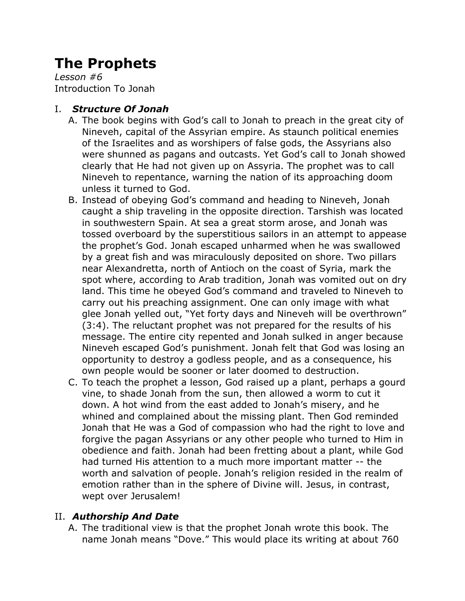# **The Prophets**

*Lesson #6* Introduction To Jonah

## I. *Structure Of Jonah*

- A. The book begins with God's call to Jonah to preach in the great city of Nineveh, capital of the Assyrian empire. As staunch political enemies of the Israelites and as worshipers of false gods, the Assyrians also were shunned as pagans and outcasts. Yet God's call to Jonah showed clearly that He had not given up on Assyria. The prophet was to call Nineveh to repentance, warning the nation of its approaching doom unless it turned to God.
- B. Instead of obeying God's command and heading to Nineveh, Jonah caught a ship traveling in the opposite direction. Tarshish was located in southwestern Spain. At sea a great storm arose, and Jonah was tossed overboard by the superstitious sailors in an attempt to appease the prophet's God. Jonah escaped unharmed when he was swallowed by a great fish and was miraculously deposited on shore. Two pillars near Alexandretta, north of Antioch on the coast of Syria, mark the spot where, according to Arab tradition, Jonah was vomited out on dry land. This time he obeyed God's command and traveled to Nineveh to carry out his preaching assignment. One can only image with what glee Jonah yelled out, "Yet forty days and Nineveh will be overthrown" (3:4). The reluctant prophet was not prepared for the results of his message. The entire city repented and Jonah sulked in anger because Nineveh escaped God's punishment. Jonah felt that God was losing an opportunity to destroy a godless people, and as a consequence, his own people would be sooner or later doomed to destruction.
- C. To teach the prophet a lesson, God raised up a plant, perhaps a gourd vine, to shade Jonah from the sun, then allowed a worm to cut it down. A hot wind from the east added to Jonah's misery, and he whined and complained about the missing plant. Then God reminded Jonah that He was a God of compassion who had the right to love and forgive the pagan Assyrians or any other people who turned to Him in obedience and faith. Jonah had been fretting about a plant, while God had turned His attention to a much more important matter -- the worth and salvation of people. Jonah's religion resided in the realm of emotion rather than in the sphere of Divine will. Jesus, in contrast, wept over Jerusalem!

## II. *Authorship And Date*

A. The traditional view is that the prophet Jonah wrote this book. The name Jonah means "Dove." This would place its writing at about 760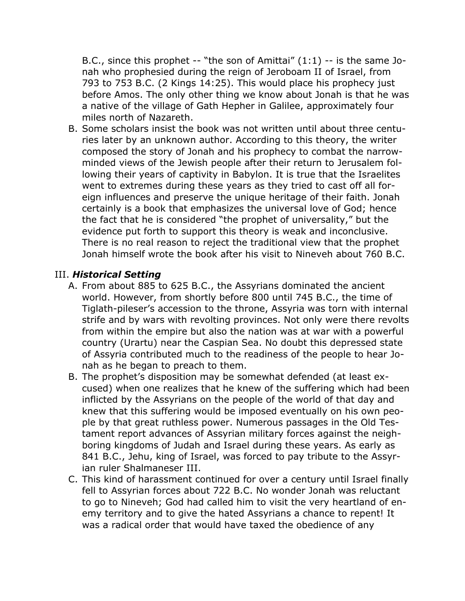B.C., since this prophet -- "the son of Amittai" (1:1) -- is the same Jonah who prophesied during the reign of Jeroboam II of Israel, from 793 to 753 B.C. (2 Kings 14:25). This would place his prophecy just before Amos. The only other thing we know about Jonah is that he was a native of the village of Gath Hepher in Galilee, approximately four miles north of Nazareth.

B. Some scholars insist the book was not written until about three centuries later by an unknown author. According to this theory, the writer composed the story of Jonah and his prophecy to combat the narrowminded views of the Jewish people after their return to Jerusalem following their years of captivity in Babylon. It is true that the Israelites went to extremes during these years as they tried to cast off all foreign influences and preserve the unique heritage of their faith. Jonah certainly is a book that emphasizes the universal love of God; hence the fact that he is considered "the prophet of universality," but the evidence put forth to support this theory is weak and inconclusive. There is no real reason to reject the traditional view that the prophet Jonah himself wrote the book after his visit to Nineveh about 760 B.C.

#### III. *Historical Setting*

- A. From about 885 to 625 B.C., the Assyrians dominated the ancient world. However, from shortly before 800 until 745 B.C., the time of Tiglath-pileser's accession to the throne, Assyria was torn with internal strife and by wars with revolting provinces. Not only were there revolts from within the empire but also the nation was at war with a powerful country (Urartu) near the Caspian Sea. No doubt this depressed state of Assyria contributed much to the readiness of the people to hear Jonah as he began to preach to them.
- B. The prophet's disposition may be somewhat defended (at least excused) when one realizes that he knew of the suffering which had been inflicted by the Assyrians on the people of the world of that day and knew that this suffering would be imposed eventually on his own people by that great ruthless power. Numerous passages in the Old Testament report advances of Assyrian military forces against the neighboring kingdoms of Judah and Israel during these years. As early as 841 B.C., Jehu, king of Israel, was forced to pay tribute to the Assyrian ruler Shalmaneser III.
- C. This kind of harassment continued for over a century until Israel finally fell to Assyrian forces about 722 B.C. No wonder Jonah was reluctant to go to Nineveh; God had called him to visit the very heartland of enemy territory and to give the hated Assyrians a chance to repent! It was a radical order that would have taxed the obedience of any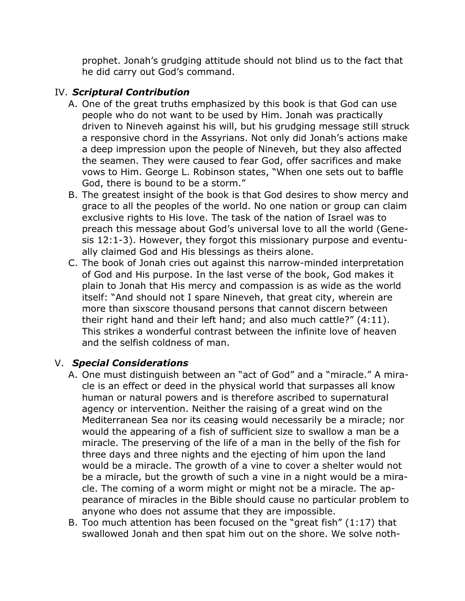prophet. Jonah's grudging attitude should not blind us to the fact that he did carry out God's command.

## IV. *Scriptural Contribution*

- A. One of the great truths emphasized by this book is that God can use people who do not want to be used by Him. Jonah was practically driven to Nineveh against his will, but his grudging message still struck a responsive chord in the Assyrians. Not only did Jonah's actions make a deep impression upon the people of Nineveh, but they also affected the seamen. They were caused to fear God, offer sacrifices and make vows to Him. George L. Robinson states, "When one sets out to baffle God, there is bound to be a storm."
- B. The greatest insight of the book is that God desires to show mercy and grace to all the peoples of the world. No one nation or group can claim exclusive rights to His love. The task of the nation of Israel was to preach this message about God's universal love to all the world (Genesis 12:1-3). However, they forgot this missionary purpose and eventually claimed God and His blessings as theirs alone.
- C. The book of Jonah cries out against this narrow-minded interpretation of God and His purpose. In the last verse of the book, God makes it plain to Jonah that His mercy and compassion is as wide as the world itself: "And should not I spare Nineveh, that great city, wherein are more than sixscore thousand persons that cannot discern between their right hand and their left hand; and also much cattle?" (4:11). This strikes a wonderful contrast between the infinite love of heaven and the selfish coldness of man.

### V. *Special Considerations*

- A. One must distinguish between an "act of God" and a "miracle." A miracle is an effect or deed in the physical world that surpasses all know human or natural powers and is therefore ascribed to supernatural agency or intervention. Neither the raising of a great wind on the Mediterranean Sea nor its ceasing would necessarily be a miracle; nor would the appearing of a fish of sufficient size to swallow a man be a miracle. The preserving of the life of a man in the belly of the fish for three days and three nights and the ejecting of him upon the land would be a miracle. The growth of a vine to cover a shelter would not be a miracle, but the growth of such a vine in a night would be a miracle. The coming of a worm might or might not be a miracle. The appearance of miracles in the Bible should cause no particular problem to anyone who does not assume that they are impossible.
- B. Too much attention has been focused on the "great fish" (1:17) that swallowed Jonah and then spat him out on the shore. We solve noth-